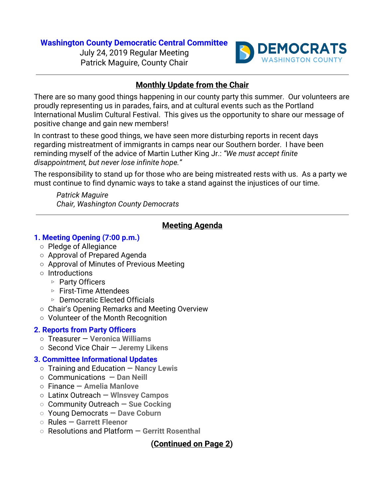## **Washington County Democratic Central Committee**

July 24, 2019 Regular Meeting Patrick Maguire, County Chair



## **Monthly Update from the Chair**

There are so many good things happening in our county party this summer. Our volunteers are proudly representing us in parades, fairs, and at cultural events such as the Portland International Muslim Cultural Festival. This gives us the opportunity to share our message of positive change and gain new members!

In contrast to these good things, we have seen more disturbing reports in recent days regarding mistreatment of immigrants in camps near our Southern border. I have been reminding myself of the advice of Martin Luther King Jr.: *"We must accept finite disappointment, but never lose infinite hope."*

The responsibility to stand up for those who are being mistreated rests with us. As a party we must continue to find dynamic ways to take a stand against the injustices of our time.

*Patrick Maguire Chair, Washington County Democrats*

# **Meeting Agenda**

#### **1. Meeting Opening (7:00 p.m.)**

- Pledge of Allegiance
- Approval of Prepared Agenda
- Approval of Minutes of Previous Meeting
- Introductions
	- ▹ Party Officers
	- ▹ First-Time Attendees
	- ▹ Democratic Elected Officials
- Chair's Opening Remarks and Meeting Overview
- Volunteer of the Month Recognition

## **2. Reports from Party Officers**

- Treasurer — **Veronica Williams**
- Second Vice Chair — **Jeremy Likens**

## **3. Committee Informational Updates**

- Training and Education — **Nancy Lewis**
- Communications — **Dan Neill**
- Finance — **Amelia Manlove**
- Latinx Outreach **Wlnsvey Campos**
- **○** Community Outreach — **Sue Cocking**
- **○** Young Democrats — **Dave Coburn**
- **○** Rules — **Garrett Fleenor**
- **○** Resolutions and Platform — **Gerritt Rosenthal**

**(Continued on Page 2)**